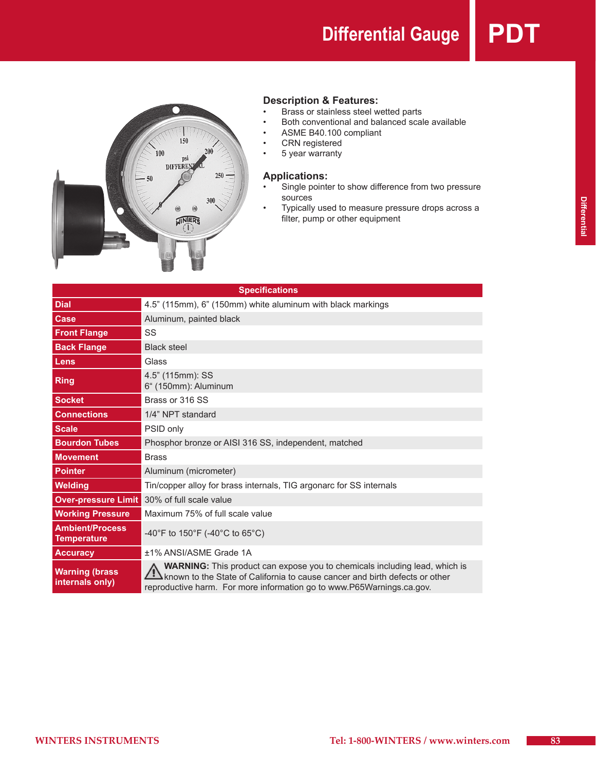**Differential Gauge PD** 



# **Description & Features:**<br>• Brass or stainless steel w

- Brass or stainless steel wetted parts
- Both conventional and balanced scale available
- ASME B40.100 compliant<br>• CRN registered
- CRN registered<br>• 5 year warranty
- 5 year warranty

### **Applications:**

- Single pointer to show difference from two pressure sources
- • Typically used to measure pressure drops across a filter, pump or other equipment

| <b>Specifications</b>                        |                                                                                                                                                                                                                                           |  |  |  |  |  |  |  |
|----------------------------------------------|-------------------------------------------------------------------------------------------------------------------------------------------------------------------------------------------------------------------------------------------|--|--|--|--|--|--|--|
| <b>Dial</b>                                  | 4.5" (115mm), 6" (150mm) white aluminum with black markings                                                                                                                                                                               |  |  |  |  |  |  |  |
| Case                                         | Aluminum, painted black                                                                                                                                                                                                                   |  |  |  |  |  |  |  |
| <b>Front Flange</b>                          | SS                                                                                                                                                                                                                                        |  |  |  |  |  |  |  |
| <b>Back Flange</b>                           | <b>Black steel</b>                                                                                                                                                                                                                        |  |  |  |  |  |  |  |
| Lens                                         | Glass                                                                                                                                                                                                                                     |  |  |  |  |  |  |  |
| <b>Ring</b>                                  | 4.5" (115mm): SS<br>6" (150mm): Aluminum                                                                                                                                                                                                  |  |  |  |  |  |  |  |
| <b>Socket</b>                                | Brass or 316 SS                                                                                                                                                                                                                           |  |  |  |  |  |  |  |
| <b>Connections</b>                           | 1/4" NPT standard                                                                                                                                                                                                                         |  |  |  |  |  |  |  |
| <b>Scale</b>                                 | PSID only                                                                                                                                                                                                                                 |  |  |  |  |  |  |  |
| <b>Bourdon Tubes</b>                         | Phosphor bronze or AISI 316 SS, independent, matched                                                                                                                                                                                      |  |  |  |  |  |  |  |
| <b>Movement</b>                              | <b>Brass</b>                                                                                                                                                                                                                              |  |  |  |  |  |  |  |
| <b>Pointer</b>                               | Aluminum (micrometer)                                                                                                                                                                                                                     |  |  |  |  |  |  |  |
| <b>Welding</b>                               | Tin/copper alloy for brass internals, TIG argonarc for SS internals                                                                                                                                                                       |  |  |  |  |  |  |  |
| <b>Over-pressure Limit</b>                   | 30% of full scale value                                                                                                                                                                                                                   |  |  |  |  |  |  |  |
| <b>Working Pressure</b>                      | Maximum 75% of full scale value                                                                                                                                                                                                           |  |  |  |  |  |  |  |
| <b>Ambient/Process</b><br><b>Temperature</b> | -40°F to 150°F (-40°C to 65°C)                                                                                                                                                                                                            |  |  |  |  |  |  |  |
| <b>Accuracy</b>                              | ±1% ANSI/ASME Grade 1A                                                                                                                                                                                                                    |  |  |  |  |  |  |  |
| <b>Warning (brass</b><br>internals only)     | <b>WARNING:</b> This product can expose you to chemicals including lead, which is<br>known to the State of California to cause cancer and birth defects or other<br>reproductive harm. For more information go to www.P65Warnings.ca.gov. |  |  |  |  |  |  |  |